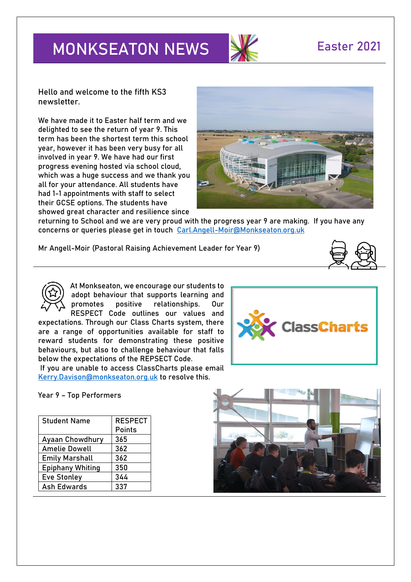# **MONKSEATON NEWS SEARCH READ READ READ PROPERTY**



**Hello and welcome to the fifth KS3 newsletter.**

We have made it to Easter half term and we delighted to see the return of year 9. This term has been the shortest term this school year, however it has been very busy for all involved in year 9. We have had our first progress evening hosted via school cloud, which was a huge success and we thank you all for your attendance. All students have had 1-1 appointments with staff to select their GCSE options. The students have showed great character and resilience since



returning to School and we are very proud with the progress year 9 are making. If you have any concerns or queries please get in touch [Carl.Angell-Moir@Monkseaton.org.uk](mailto:Carl.Angell-Moir@Monkseaton.org.uk) 

**Mr Angell-Moir (Pastoral Raising Achievement Leader for Year 9)** 



At Monkseaton, we encourage our students to adopt behaviour that supports learning and promotes positive relationships. Our RESPECT Code outlines our values and

expectations. Through our Class Charts system, there are a range of opportunities available for staff to reward students for demonstrating these positive behaviours, but also to challenge behaviour that falls below the expectations of the REPSECT Code.

If you are unable to access ClassCharts please email [Kerry.Davison@monkseaton.org.uk](mailto:Kerry.Davison@monkseaton.org.uk) to resolve this.

**Year 9 – Top Performers**

| <b>Student Name</b>     | <b>RESPECT</b> |
|-------------------------|----------------|
|                         | <b>Points</b>  |
| <b>Ayaan Chowdhury</b>  | 365            |
| <b>Amelie Dowell</b>    | 362            |
| <b>Emily Marshall</b>   | 362            |
| <b>Epiphany Whiting</b> | 350            |
| <b>Eve Stonley</b>      | 344            |
| <b>Ash Edwards</b>      | 337            |



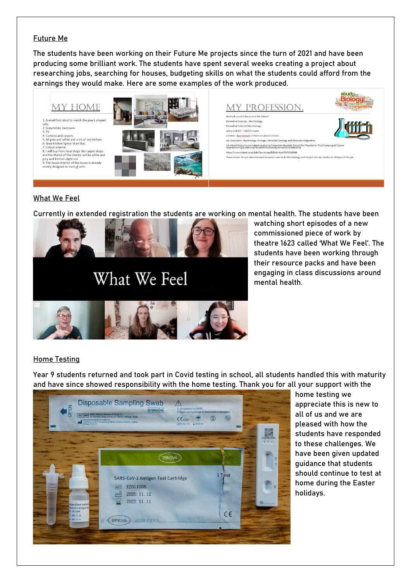#### **Future Me**

The students have been working on their Future Me projects since the turn of 2021 and have been producing some brilliant work. The students have spent several weeks creating a project about researching jobs, searching for houses, budgeting skills on what the students could afford from the earnings they would make. Here are some examples of the work produced.





ent because I want to do Microbi

Job Description- Bacteriology, Virology / Microbial Serology and Molecular diagne Job Advert-https://www.indeed.co.uk/cmp/University-Hospitals-Dorset-Nhs-For<br>name&from=2pane&fromjk=8ca6f99f2f0dfdd6&jcid=c6f52ca9348b0e54 https://www.indeed.co.uk/iobs?g=virology&l&vik=8ca6f99f2f0dfdd6

Salary-£24,907 - £30,615 a year.

have chosen this job advertiser

Location- Bournmouth or there are jobs in Lond



studu **Biolog** 

### **What We Feel**

Currently in extended registration the students are working on mental health. The students have been



watching short episodes of a new commissioned piece of work by theatre 1623 called 'What We Feel'. The students have been working through their resource packs and have been engaging in class discussions around mental health.

logy and this job includes studies on all types of this jo

#### **Home Testing**

Year 9 students returned and took part in Covid testing in school, all students handled this with maturity and have since showed responsibility with the home testing. Thank you for all your support with the



home testing we appreciate this is new to all of us and we are pleased with how the students have responded to these challenges. We have been given updated guidance that students should continue to test at home during the Easter holidays.